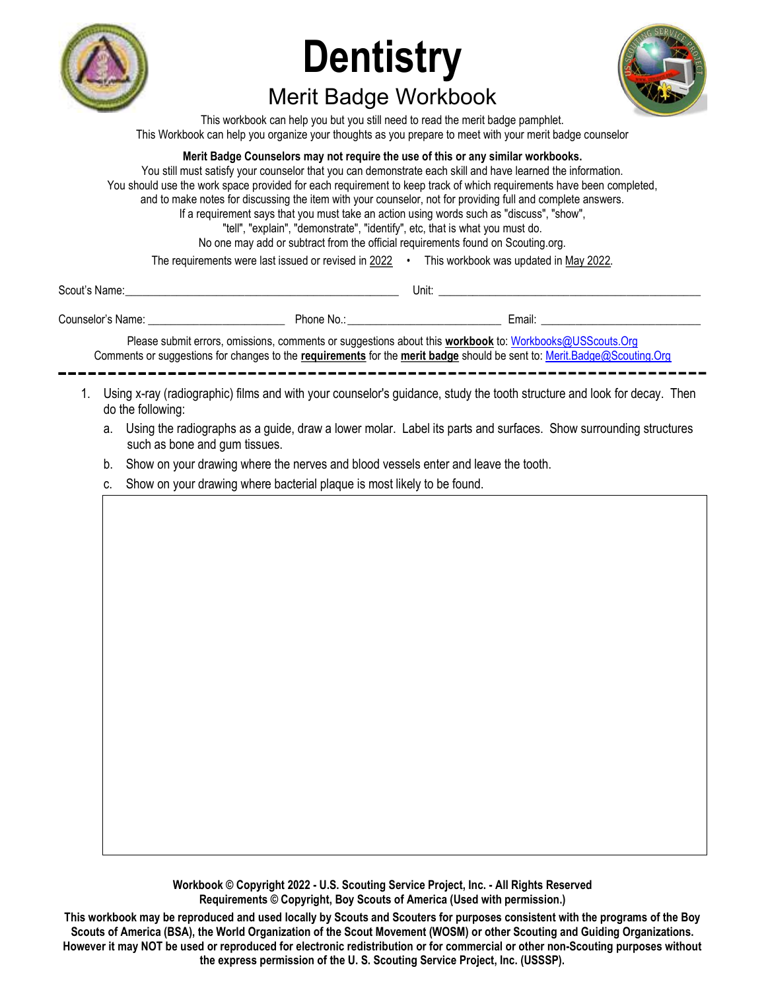

# **Dentistry** Merit Badge Workbook



This workbook can help you but you still need to read the merit badge pamphlet. This Workbook can help you organize your thoughts as you prepare to meet with your merit badge counselor

### Merit Badge Counselors may not require the use of this or any similar workbooks.

You still must satisfy your counselor that you can demonstrate each skill and have learned the information. You should use the work space provided for each requirement to keep track of which requirements have been completed, and to make notes for discussing the item with your counselor, not for providing full and complete answers. If a requirement says that you must take an action using words such as "discuss", "show", "tell", "explain", "demonstrate", "identify", etc, that is what you must do. No one may add or subtract from the official requirements found on Scouting.org. The requirements were last issued or revised in 2022 • This workbook was updated in May 2022.

| Scout's Name:<br>Please submit errors, omissions, comments or suggestions about this workbook to: Workbooks@USScouts.Org<br>Comments or suggestions for changes to the requirements for the merit badge should be sent to: Merit.Badge@Scouting.Org<br>Using x-ray (radiographic) films and with your counselor's guidance, study the tooth structure and look for decay. Then<br>1.<br>do the following:<br>Using the radiographs as a guide, draw a lower molar. Label its parts and surfaces. Show surrounding structures<br>a.<br>such as bone and gum tissues.<br>Show on your drawing where the nerves and blood vessels enter and leave the tooth.<br>b.<br>Show on your drawing where bacterial plaque is most likely to be found.<br>C. |  |  |  |
|--------------------------------------------------------------------------------------------------------------------------------------------------------------------------------------------------------------------------------------------------------------------------------------------------------------------------------------------------------------------------------------------------------------------------------------------------------------------------------------------------------------------------------------------------------------------------------------------------------------------------------------------------------------------------------------------------------------------------------------------------|--|--|--|
|                                                                                                                                                                                                                                                                                                                                                                                                                                                                                                                                                                                                                                                                                                                                                  |  |  |  |
|                                                                                                                                                                                                                                                                                                                                                                                                                                                                                                                                                                                                                                                                                                                                                  |  |  |  |
|                                                                                                                                                                                                                                                                                                                                                                                                                                                                                                                                                                                                                                                                                                                                                  |  |  |  |
|                                                                                                                                                                                                                                                                                                                                                                                                                                                                                                                                                                                                                                                                                                                                                  |  |  |  |
|                                                                                                                                                                                                                                                                                                                                                                                                                                                                                                                                                                                                                                                                                                                                                  |  |  |  |
|                                                                                                                                                                                                                                                                                                                                                                                                                                                                                                                                                                                                                                                                                                                                                  |  |  |  |
|                                                                                                                                                                                                                                                                                                                                                                                                                                                                                                                                                                                                                                                                                                                                                  |  |  |  |
|                                                                                                                                                                                                                                                                                                                                                                                                                                                                                                                                                                                                                                                                                                                                                  |  |  |  |

Workbook © Copyright 2022 - U.S. Scouting Service Project, Inc. - All Rights Reserved Requirements © Copyright, Boy Scouts of America (Used with permission.)

This workbook may be reproduced and used locally by Scouts and Scouters for purposes consistent with the programs of the Boy Scouts of America (BSA), the World Organization of the Scout Movement (WOSM) or other Scouting and Guiding Organizations. However it may NOT be used or reproduced for electronic redistribution or for commercial or other non-Scouting purposes without the express permission of the U. S. Scouting Service Project, Inc. (USSSP).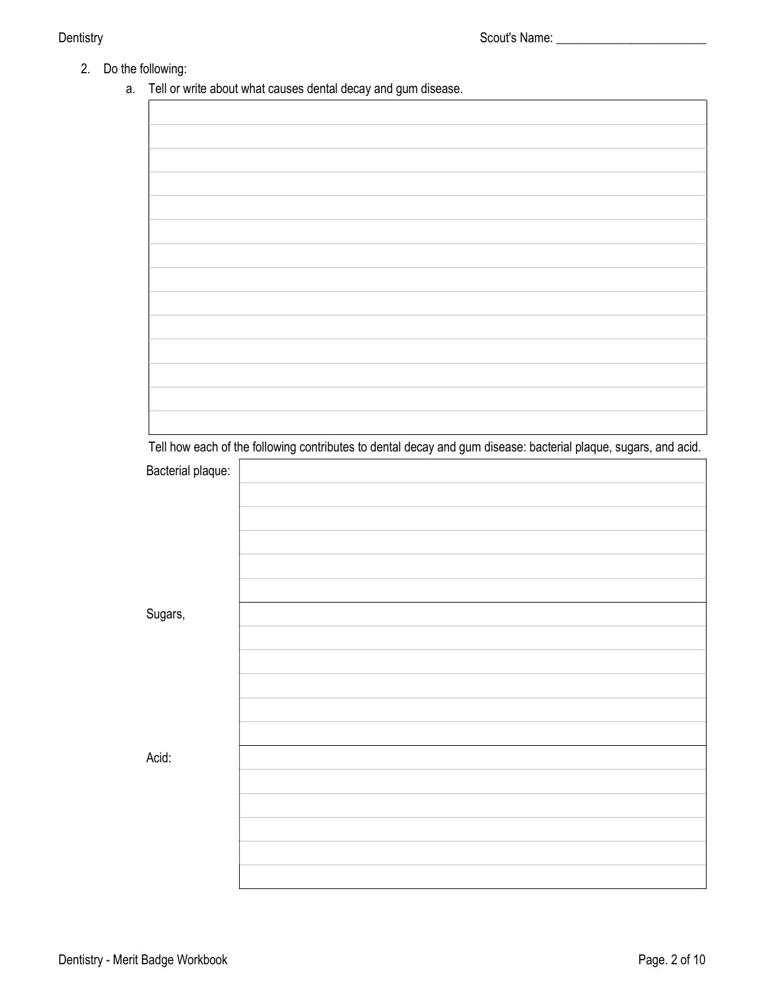- 2. Do the following:
	- a. Tell or write about what causes dental decay and gum disease.

|                   | Tell how each of the following contributes to dental decay and gum disease: bacterial plaque, sugars, and acid. |
|-------------------|-----------------------------------------------------------------------------------------------------------------|
| Bacterial plaque: |                                                                                                                 |
|                   |                                                                                                                 |
|                   |                                                                                                                 |
|                   |                                                                                                                 |
|                   |                                                                                                                 |
|                   |                                                                                                                 |
|                   |                                                                                                                 |
|                   |                                                                                                                 |
| Sugars,           |                                                                                                                 |
|                   |                                                                                                                 |
|                   |                                                                                                                 |
|                   |                                                                                                                 |
|                   |                                                                                                                 |
|                   |                                                                                                                 |
|                   |                                                                                                                 |
|                   |                                                                                                                 |
|                   |                                                                                                                 |
| Acid:             |                                                                                                                 |
|                   |                                                                                                                 |
|                   |                                                                                                                 |
|                   |                                                                                                                 |
|                   |                                                                                                                 |
|                   |                                                                                                                 |
|                   |                                                                                                                 |
|                   |                                                                                                                 |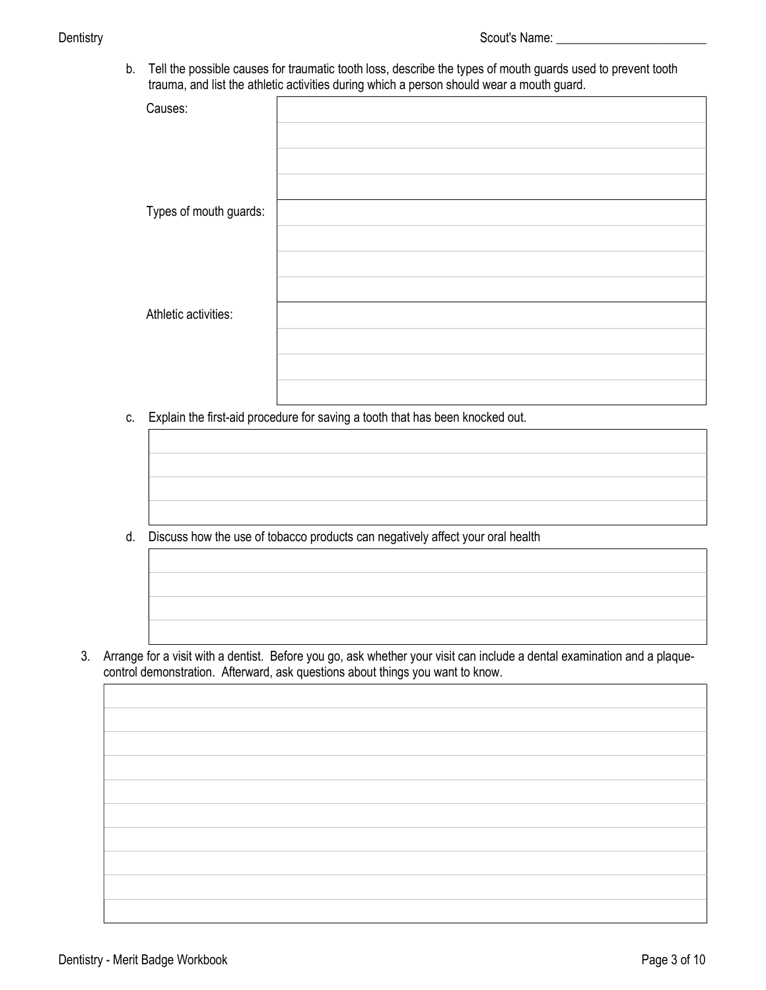b. Tell the possible causes for traumatic tooth loss, describe the types of mouth guards used to prevent tooth trauma, and list the athletic activities during which a person should wear a mouth guard.

| $\overline{\phantom{a}}$ | ັ | ◡ |
|--------------------------|---|---|
| Causes:                  |   |   |
|                          |   |   |
|                          |   |   |
|                          |   |   |
|                          |   |   |
| Types of mouth guards:   |   |   |
|                          |   |   |
|                          |   |   |
|                          |   |   |
|                          |   |   |
| Athletic activities:     |   |   |
|                          |   |   |
|                          |   |   |
|                          |   |   |
|                          |   |   |
|                          |   |   |

c. Explain the first-aid procedure for saving a tooth that has been knocked out.

d. Discuss how the use of tobacco products can negatively affect your oral health

 3. Arrange for a visit with a dentist. Before you go, ask whether your visit can include a dental examination and a plaquecontrol demonstration. Afterward, ask questions about things you want to know.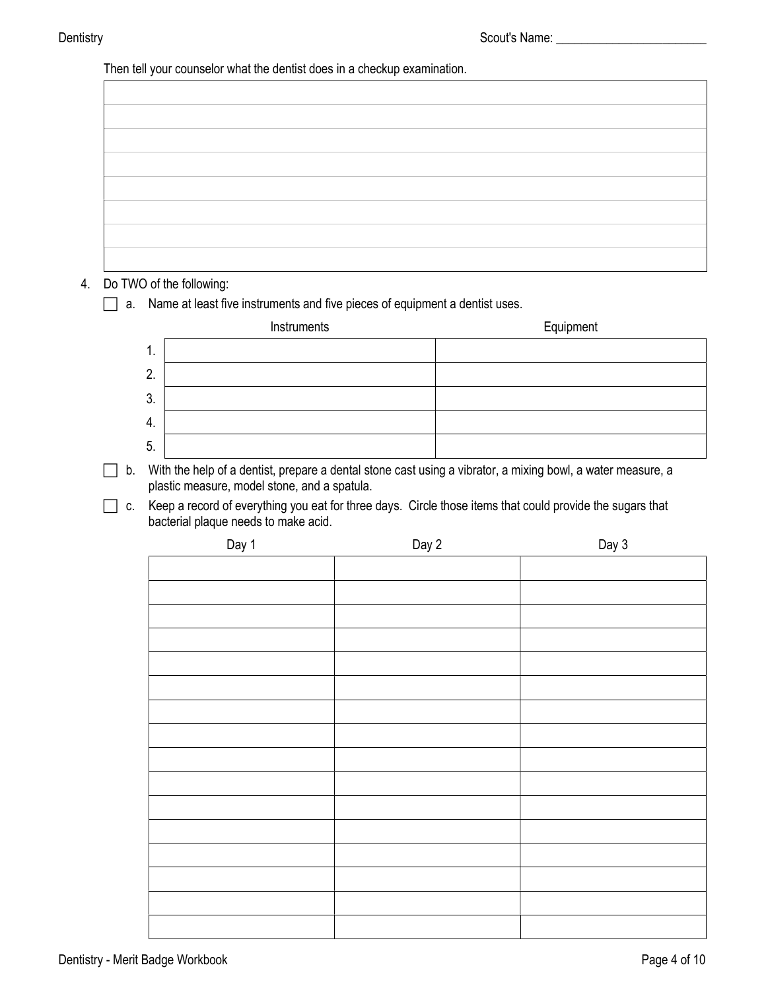Then tell your counselor what the dentist does in a checkup examination.

| the control of the control of the control of the control of the control of                                                                                                                                                    |  |  |
|-------------------------------------------------------------------------------------------------------------------------------------------------------------------------------------------------------------------------------|--|--|
|                                                                                                                                                                                                                               |  |  |
| <u> 1989 - Andrea Stadt Britain, amerikansk politiker (d. 1989)</u>                                                                                                                                                           |  |  |
| the control of the control of the control of the control of the control of the control of                                                                                                                                     |  |  |
|                                                                                                                                                                                                                               |  |  |
| the control of the control of the control of the control of the control of the control of the control of the control of the control of the control of the control of the control of the control of the control of the control |  |  |
| the control of the control of the control of the control of the control of the control of                                                                                                                                     |  |  |
|                                                                                                                                                                                                                               |  |  |

## 4. Do TWO of the following:

a. Name at least five instruments and five pieces of equipment a dentist uses.

|         | Instruments | Equipment |
|---------|-------------|-----------|
| л.      |             |           |
| റ<br>L. |             |           |
| 3.      |             |           |
| -4.     |             |           |
| -5.     |             |           |

- b. With the help of a dentist, prepare a dental stone cast using a vibrator, a mixing bowl, a water measure, a plastic measure, model stone, and a spatula.
- c. Keep a record of everything you eat for three days. Circle those items that could provide the sugars that bacterial plaque needs to make acid.

| Day 1 | Day 2 | Day 3 |
|-------|-------|-------|
|       |       |       |
|       |       |       |
|       |       |       |
|       |       |       |
|       |       |       |
|       |       |       |
|       |       |       |
|       |       |       |
|       |       |       |
|       |       |       |
|       |       |       |
|       |       |       |
|       |       |       |
|       |       |       |
|       |       |       |
|       |       |       |
|       |       |       |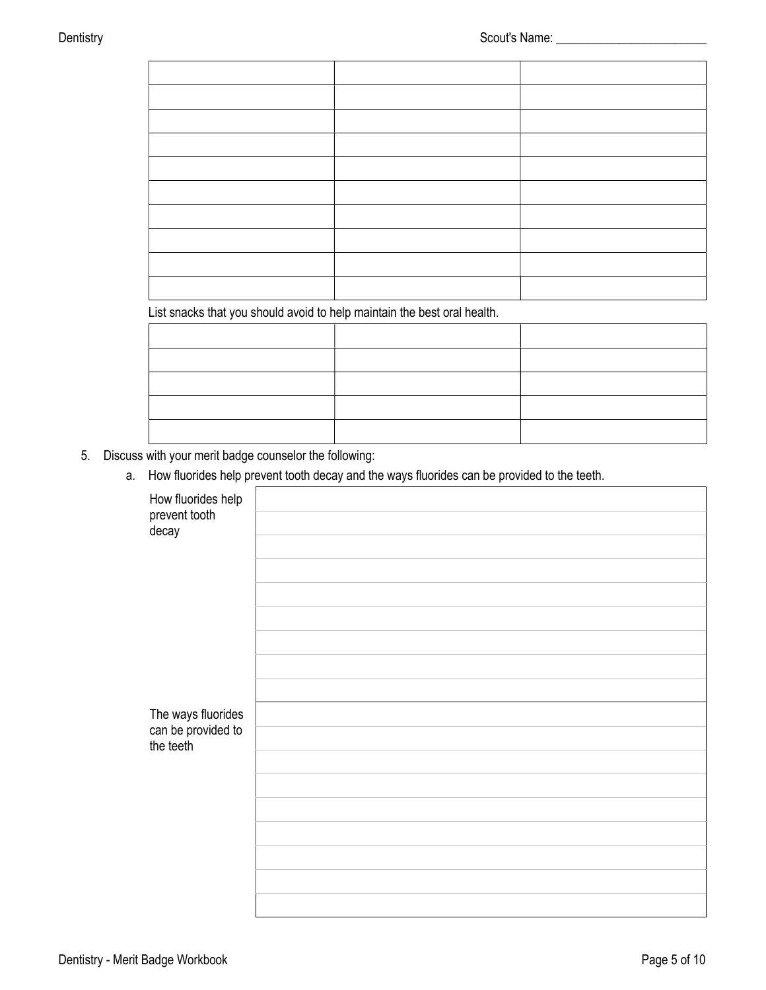List snacks that you should avoid to help maintain the best oral health.

- 5. Discuss with your merit badge counselor the following:
	- a. How fluorides help prevent tooth decay and the ways fluorides can be provided to the teeth.

| How fluorides help<br>prevent tooth<br>decay |  |
|----------------------------------------------|--|
|                                              |  |
| The ways fluorides                           |  |
| can be provided to<br>the teeth              |  |
|                                              |  |
|                                              |  |
|                                              |  |
|                                              |  |
|                                              |  |
|                                              |  |
|                                              |  |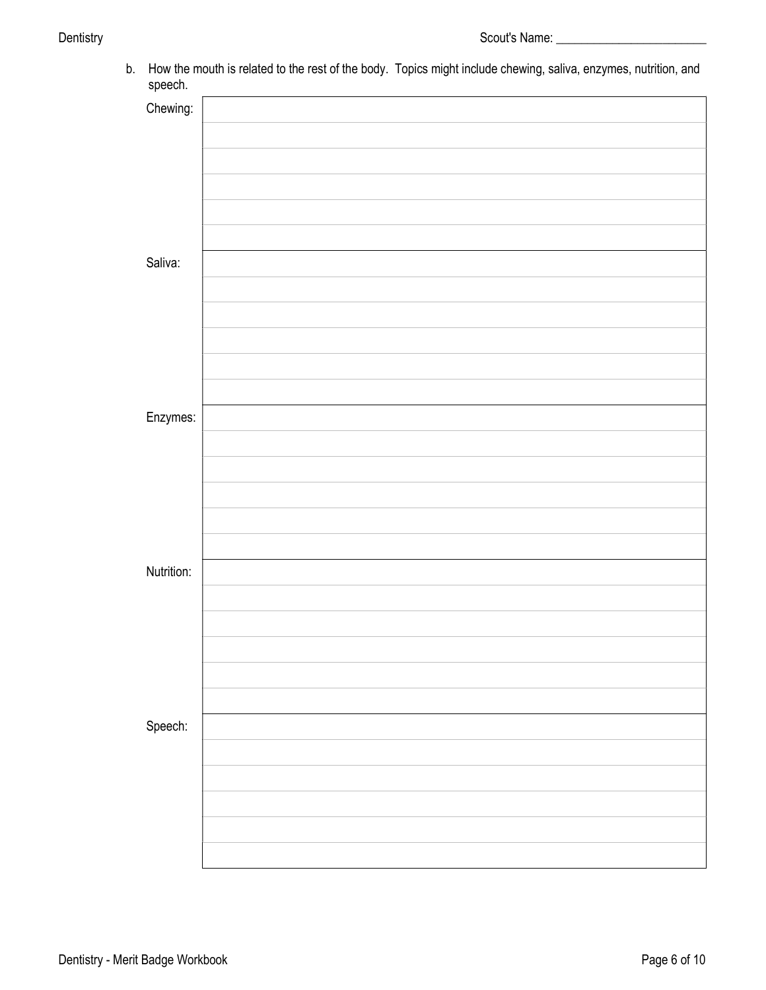b. How the mouth is related to the rest of the body. Topics might include chewing, saliva, enzymes, nutrition, and speech.

| sheenii    |  |
|------------|--|
| Chewing:   |  |
|            |  |
|            |  |
|            |  |
|            |  |
|            |  |
| Saliva:    |  |
|            |  |
|            |  |
|            |  |
|            |  |
|            |  |
| Enzymes:   |  |
|            |  |
|            |  |
|            |  |
|            |  |
|            |  |
| Nutrition: |  |
|            |  |
|            |  |
|            |  |
|            |  |
|            |  |
| Speech:    |  |
|            |  |
|            |  |
|            |  |
|            |  |
|            |  |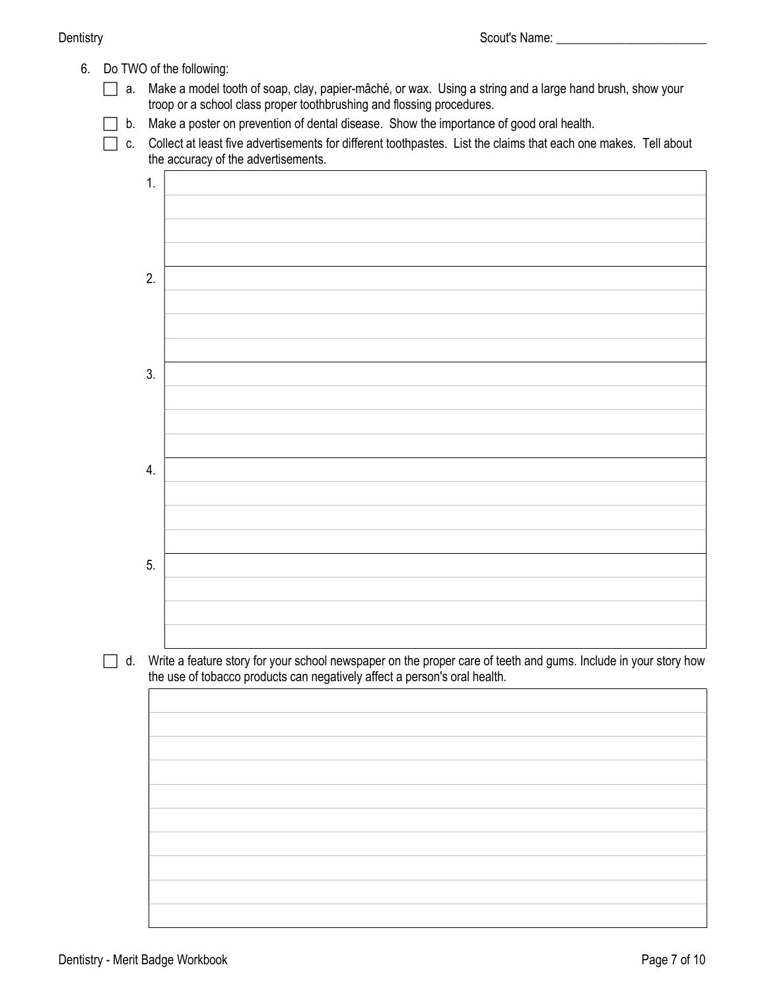6. Do TWO of the following:

 a. Make a model tooth of soap, clay, papier-mâché, or wax. Using a string and a large hand brush, show your troop or a school class proper toothbrushing and flossing procedures.

 $\Box$  b. Make a poster on prevention of dental disease. Show the importance of good oral health.

 c. Collect at least five advertisements for different toothpastes. List the claims that each one makes. Tell about the accuracy of the advertisements.

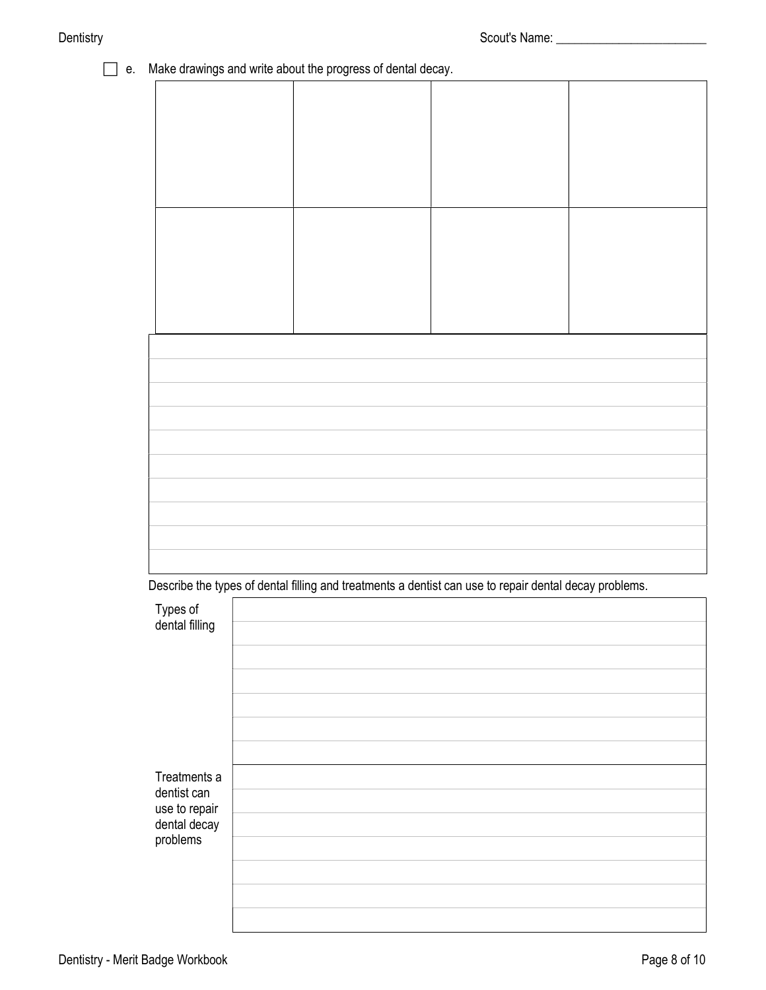| П<br>е. | Make drawings and write about the progress of dental decay.                                            |  |  |
|---------|--------------------------------------------------------------------------------------------------------|--|--|
|         |                                                                                                        |  |  |
|         |                                                                                                        |  |  |
|         |                                                                                                        |  |  |
|         |                                                                                                        |  |  |
|         |                                                                                                        |  |  |
|         |                                                                                                        |  |  |
|         |                                                                                                        |  |  |
|         |                                                                                                        |  |  |
|         |                                                                                                        |  |  |
|         |                                                                                                        |  |  |
|         |                                                                                                        |  |  |
|         |                                                                                                        |  |  |
|         |                                                                                                        |  |  |
|         |                                                                                                        |  |  |
|         |                                                                                                        |  |  |
|         | Describe the types of dental filling and treatments a dentist can use to repair dental decay problems. |  |  |

| Types of                     |  |
|------------------------------|--|
| dental filling               |  |
|                              |  |
|                              |  |
|                              |  |
|                              |  |
|                              |  |
| Treatments a                 |  |
| dentist can<br>use to repair |  |
| dental decay                 |  |
| problems                     |  |
|                              |  |
|                              |  |
|                              |  |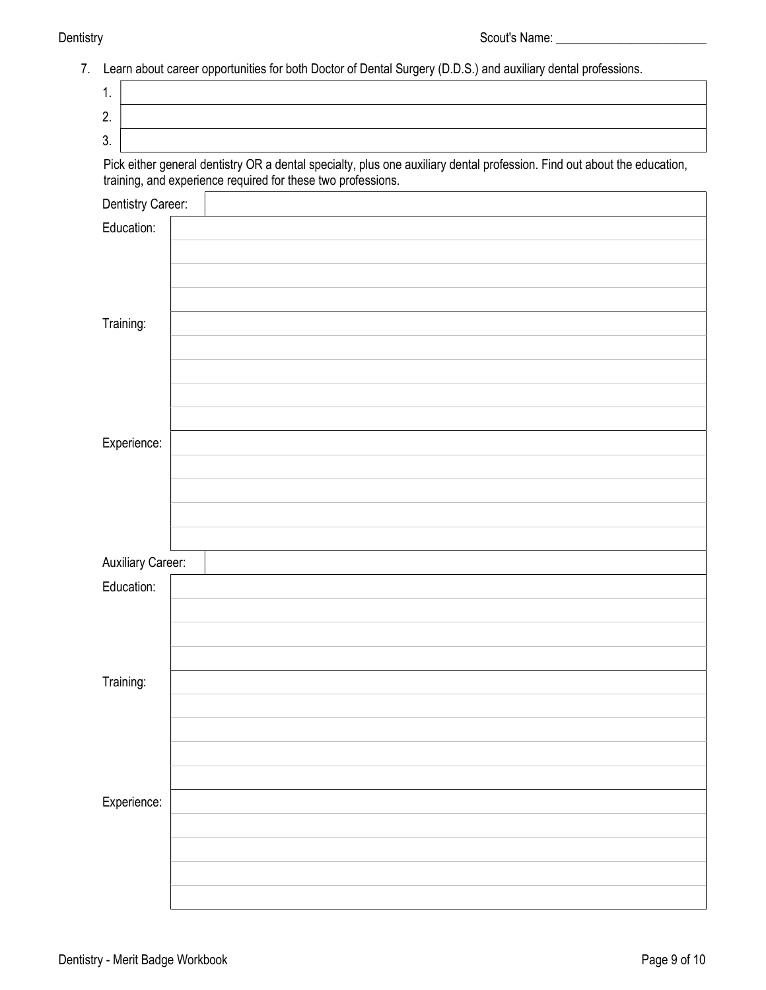Dentistry **Scout's Name:** The Scout's Name: The Scout's Name: The Scout's Name: The Scout's Name: The Scout's Name: The Scout's Name: The Scout's Name: The Scout's Name: The Scout's Name: The Scout's Name: The Scout's Name

|  |  |  |  |  | 7 Learn about career opportunities for both Doctor of Dental Surgery (D.D.S.) and auxiliary dental professions. |
|--|--|--|--|--|-----------------------------------------------------------------------------------------------------------------|
|--|--|--|--|--|-----------------------------------------------------------------------------------------------------------------|

| 1.                       |                                                                                                                                                                                          |
|--------------------------|------------------------------------------------------------------------------------------------------------------------------------------------------------------------------------------|
| 2.                       |                                                                                                                                                                                          |
| 3.                       |                                                                                                                                                                                          |
|                          | Pick either general dentistry OR a dental specialty, plus one auxiliary dental profession. Find out about the education,<br>training, and experience required for these two professions. |
| Dentistry Career:        |                                                                                                                                                                                          |
| Education:               |                                                                                                                                                                                          |
|                          |                                                                                                                                                                                          |
|                          |                                                                                                                                                                                          |
|                          |                                                                                                                                                                                          |
| Training:                |                                                                                                                                                                                          |
|                          |                                                                                                                                                                                          |
|                          |                                                                                                                                                                                          |
|                          |                                                                                                                                                                                          |
|                          |                                                                                                                                                                                          |
| Experience:              |                                                                                                                                                                                          |
|                          |                                                                                                                                                                                          |
|                          |                                                                                                                                                                                          |
|                          |                                                                                                                                                                                          |
| <b>Auxiliary Career:</b> |                                                                                                                                                                                          |
| Education:               |                                                                                                                                                                                          |
|                          |                                                                                                                                                                                          |
|                          |                                                                                                                                                                                          |
|                          |                                                                                                                                                                                          |
| Training:                |                                                                                                                                                                                          |
|                          |                                                                                                                                                                                          |
|                          |                                                                                                                                                                                          |
|                          |                                                                                                                                                                                          |
|                          |                                                                                                                                                                                          |
| Experience:              |                                                                                                                                                                                          |
|                          |                                                                                                                                                                                          |
|                          |                                                                                                                                                                                          |
|                          |                                                                                                                                                                                          |
|                          |                                                                                                                                                                                          |